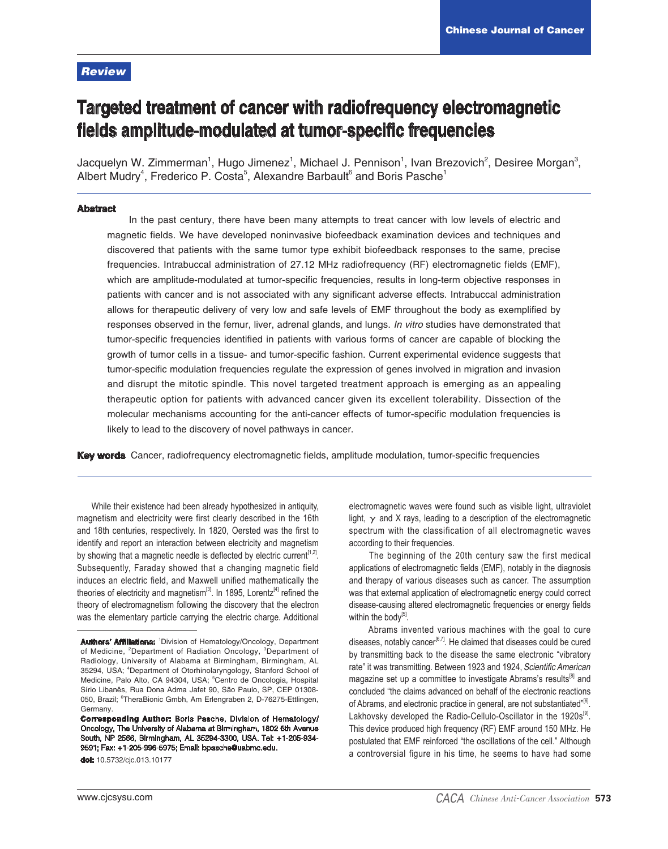### Review

# Targeted treatment of cancer with radiofrequency electromagnetic fields amplitude-modulated at tumor-specific frequencies

Jacquelyn W. Zimmerman<sup>1</sup>, Hugo Jimenez<sup>1</sup>, Michael J. Pennison<sup>1</sup>, Ivan Brezovich<sup>2</sup>, Desiree Morgan<sup>3</sup>, Albert Mudry<sup>4</sup>, Frederico P. Costa<sup>5</sup>, Alexandre Barbault $^6$  and Boris Pasche<sup>1</sup>

#### Abstract

 In the past century, there have been many attempts to treat cancer with low levels of electric and magnetic fields. We have developed noninvasive biofeedback examination devices and techniques and discovered that patients with the same tumor type exhibit biofeedback responses to the same, precise frequencies. Intrabuccal administration of 27.12 MHz radiofrequency (RF) electromagnetic fields (EMF), which are amplitude-modulated at tumor-specific frequencies, results in long-term objective responses in patients with cancer and is not associated with any significant adverse effects. Intrabuccal administration allows for therapeutic delivery of very low and safe levels of EMF throughout the body as exemplified by responses observed in the femur, liver, adrenal glands, and lungs. In vitro studies have demonstrated that tumor-specific frequencies identified in patients with various forms of cancer are capable of blocking the growth of tumor cells in a tissue- and tumor-specific fashion. Current experimental evidence suggests that tumor-specific modulation frequencies regulate the expression of genes involved in migration and invasion and disrupt the mitotic spindle. This novel targeted treatment approach is emerging as an appealing therapeutic option for patients with advanced cancer given its excellent tolerability. Dissection of the molecular mechanisms accounting for the anti-cancer effects of tumor-specific modulation frequencies is likely to lead to the discovery of novel pathways in cancer.

**Key words** Cancer, radiofrequency electromagnetic fields, amplitude modulation, tumor-specific frequencies

 While their existence had been already hypothesized in antiquity, magnetism and electricity were first clearly described in the 16th and 18th centuries, respectively. In 1820, Oersted was the first to identify and report an interaction between electricity and magnetism by showing that a magnetic needle is deflected by electric current<sup>[1,2]</sup>. Subsequently, Faraday showed that a changing magnetic field induces an electric field, and Maxwell unified mathematically the theories of electricity and magnetism<sup>[3]</sup>. In 1895, Lorentz<sup>[4]</sup> refined the theory of electromagnetism following the discovery that the electron was the elementary particle carrying the electric charge. Additional electromagnetic waves were found such as visible light, ultraviolet light,  $\gamma$  and X rays, leading to a description of the electromagnetic spectrum with the classification of all electromagnetic waves according to their frequencies.

 The beginning of the 20th century saw the first medical applications of electromagnetic felds (EMF), notably in the diagnosis and therapy of various diseases such as cancer. The assumption was that external application of electromagnetic energy could correct disease-causing altered electromagnetic frequencies or energy felds within the bod $v^{5}$ .

 Abrams invented various machines with the goal to cure diseases, notably cancer $[6,7]$ . He claimed that diseases could be cured by transmitting back to the disease the same electronic "vibratory rate" it was transmitting. Between 1923 and 1924, Scientific American magazine set up a committee to investigate Abrams's results<sup>[8]</sup> and concluded "the claims advanced on behalf of the electronic reactions of Abrams, and electronic practice in general, are not substantiated"<sup>[6]</sup>. Lakhovsky developed the Radio-Cellulo-Oscillator in the 1920s<sup>[9]</sup>. This device produced high frequency (RF) EMF around 150 MHz. He postulated that EMF reinforced "the oscillations of the cell." Although a controversial figure in his time, he seems to have had some

Authors' Affiliations: 1Division of Hematology/Oncology, Department of Medicine, <sup>2</sup>Department of Radiation Oncology, <sup>3</sup>Department of Radiology, University of Alabama at Birmingham, Birmingham, AL 35294, USA; <sup>4</sup>Department of Otorhinolaryngology, Stanford School of Medicine, Palo Alto, CA 94304, USA; <sup>5</sup>Centro de Oncologia, Hospital Sírio Libanês, Rua Dona Adma Jafet 90, São Paulo, SP, CEP 01308- 050, Brazil; <sup>e</sup>TheraBionic Gmbh, Am Erlengraben 2, D-76275-Ettlingen, Germany.

Corresponding Author: Boris Pasche, Division of Hematology/ Oncology, The University of Alabama at Birmingham, 1802 6th Avenue South, NP 2566, Birmingham, AL 35294-3300, USA. Tel: +1-205-934- 9591; Fax: +1-205-996-5975; Email: bpasche@uabmc.edu.

doi: 10.5732/cjc.013.10177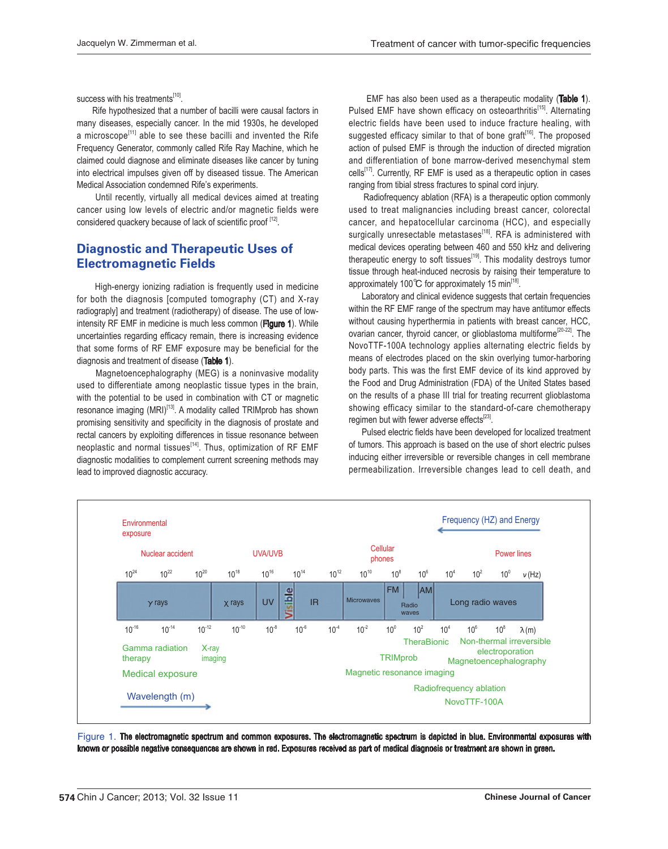success with his treatments<sup>[10]</sup>.

 Rife hypothesized that a number of bacilli were causal factors in many diseases, especially cancer. In the mid 1930s, he developed a microscope<sup>[11]</sup> able to see these bacilli and invented the Rife Frequency Generator, commonly called Rife Ray Machine, which he claimed could diagnose and eliminate diseases like cancer by tuning into electrical impulses given off by diseased tissue. The American Medical Association condemned Rife's experiments.

 Until recently, virtually all medical devices aimed at treating cancer using low levels of electric and/or magnetic fields were considered quackery because of lack of scientific proof [12].

# Diagnostic and Therapeutic Uses of Electromagnetic Fields

 High-energy ionizing radiation is frequently used in medicine for both the diagnosis [computed tomography (CT) and X-ray radiograply] and treatment (radiotherapy) of disease. The use of lowintensity RF EMF in medicine is much less common (Figure 1). While uncertainties regarding efficacy remain, there is increasing evidence that some forms of RF EMF exposure may be beneficial for the diagnosis and treatment of disease (Table 1).

 Magnetoencephalography (MEG) is a noninvasive modality used to differentiate among neoplastic tissue types in the brain, with the potential to be used in combination with CT or magnetic resonance imaging (MRI)<sup>[13]</sup>. A modality called TRIMprob has shown promising sensitivity and specificity in the diagnosis of prostate and rectal cancers by exploiting differences in tissue resonance between neoplastic and normal tissues<sup>[14]</sup>. Thus, optimization of RF EMF diagnostic modalities to complement current screening methods may lead to improved diagnostic accuracy.

 EMF has also been used as a therapeutic modality (Table 1). Pulsed EMF have shown efficacy on osteoarthritis<sup>[15]</sup>. Alternating electric fields have been used to induce fracture healing, with suggested efficacy similar to that of bone graft<sup> $[16]$ </sup>. The proposed action of pulsed EMF is through the induction of directed migration and differentiation of bone marrow-derived mesenchymal stem  $\text{cells}^{[17]}$ . Currently, RF EMF is used as a therapeutic option in cases ranging from tibial stress fractures to spinal cord injury.

 Radiofrequency ablation (RFA) is a therapeutic option commonly used to treat malignancies including breast cancer, colorectal cancer, and hepatocellular carcinoma (HCC), and especially surgically unresectable metastases<sup>[18]</sup>. RFA is administered with medical devices operating between 460 and 550 kHz and delivering therapeutic energy to soft tissues<sup>[19]</sup>. This modality destroys tumor tissue through heat-induced necrosis by raising their temperature to approximately 100℃ for approximately 15 min<sup>[18]</sup>.

 Laboratory and clinical evidence suggests that certain frequencies within the RF EMF range of the spectrum may have antitumor effects without causing hyperthermia in patients with breast cancer, HCC, ovarian cancer, thyroid cancer, or glioblastoma multiforme<sup>[20-22]</sup>. The NovoTTF-100A technology applies alternating electric fields by means of electrodes placed on the skin overlying tumor-harboring body parts. This was the first EMF device of its kind approved by the Food and Drug Administration (FDA) of the United States based on the results of a phase III trial for treating recurrent glioblastoma showing efficacy similar to the standard-of-care chemotherapy regimen but with fewer adverse effects $[23]$ .

Pulsed electric fields have been developed for localized treatment of tumors. This approach is based on the use of short electric pulses inducing either irreversible or reversible changes in cell membrane permeabilization. Irreversible changes lead to cell death, and



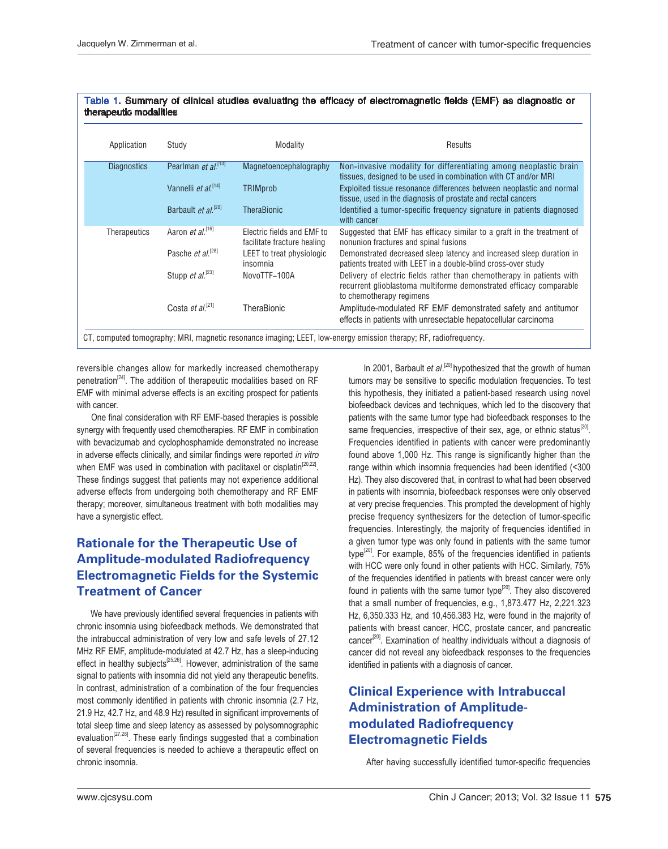| Application         | Study                           | Modality                                                  | Results                                                                                                                                                                 |
|---------------------|---------------------------------|-----------------------------------------------------------|-------------------------------------------------------------------------------------------------------------------------------------------------------------------------|
| <b>Diagnostics</b>  | Pearlman et al. <sup>[13]</sup> | Magnetoencephalography                                    | Non-invasive modality for differentiating among neoplastic brain<br>tissues, designed to be used in combination with CT and/or MRI                                      |
|                     | Vannelli et al. <sup>[14]</sup> | <b>TRIMprob</b>                                           | Exploited tissue resonance differences between neoplastic and normal<br>tissue, used in the diagnosis of prostate and rectal cancers                                    |
|                     | Barbault et al. <sup>[20]</sup> | <b>TheraBionic</b>                                        | Identified a tumor-specific frequency signature in patients diagnosed<br>with cancer                                                                                    |
| <b>Therapeutics</b> | Aaron et al. <sup>[16]</sup>    | Electric fields and EMF to<br>facilitate fracture healing | Suggested that EMF has efficacy similar to a graft in the treatment of<br>nonunion fractures and spinal fusions                                                         |
|                     | Pasche et al. <sup>[28]</sup>   | LEET to treat physiologic<br>insomnia                     | Demonstrated decreased sleep latency and increased sleep duration in<br>patients treated with LEET in a double-blind cross-over study                                   |
|                     | Stupp et al. <sup>[23]</sup>    | NovoTTF-100A                                              | Delivery of electric fields rather than chemotherapy in patients with<br>recurrent glioblastoma multiforme demonstrated efficacy comparable<br>to chemotherapy regimens |
|                     | Costa et al. <sup>[21]</sup>    | TheraBionic                                               | Amplitude-modulated RF EMF demonstrated safety and antitumor<br>effects in patients with unresectable hepatocellular carcinoma                                          |

#### Table 1. Summary of clinical studies evaluating the efficacy of electromagnetic fields (EMF) as diagnostic or therapeutic modalities

reversible changes allow for markedly increased chemotherapy penetration<sup>[24]</sup>. The addition of therapeutic modalities based on RF EMF with minimal adverse effects is an exciting prospect for patients with cancer.

 One fnal consideration with RF EMF-based therapies is possible synergy with frequently used chemotherapies. RF EMF in combination with bevacizumab and cyclophosphamide demonstrated no increase in adverse effects clinically, and similar findings were reported in vitro when EMF was used in combination with paclitaxel or cisplatin<sup>[20,22]</sup>. These fndings suggest that patients may not experience additional adverse effects from undergoing both chemotherapy and RF EMF therapy; moreover, simultaneous treatment with both modalities may have a synergistic effect.

# Rationale for the Therapeutic Use of Amplitude-modulated Radiofrequency Electromagnetic Fields for the Systemic Treatment of Cancer

 We have previously identifed several frequencies in patients with chronic insomnia using biofeedback methods. We demonstrated that the intrabuccal administration of very low and safe levels of 27.12 MHz RF EMF, amplitude-modulated at 42.7 Hz, has a sleep-inducing effect in healthy subjects<sup>[25,26]</sup>. However, administration of the same signal to patients with insomnia did not yield any therapeutic benefts. In contrast, administration of a combination of the four frequencies most commonly identifed in patients with chronic insomnia (2.7 Hz, 21.9 Hz, 42.7 Hz, and 48.9 Hz) resulted in signifcant improvements of total sleep time and sleep latency as assessed by polysomnographic evaluation<sup>[27,28]</sup>. These early findings suggested that a combination of several frequencies is needed to achieve a therapeutic effect on chronic insomnia.

In 2001, Barbault et al.<sup>[20]</sup> hypothesized that the growth of human tumors may be sensitive to specifc modulation frequencies. To test this hypothesis, they initiated a patient-based research using novel biofeedback devices and techniques, which led to the discovery that patients with the same tumor type had biofeedback responses to the same frequencies, irrespective of their sex, age, or ethnic status<sup>[20]</sup>. Frequencies identified in patients with cancer were predominantly found above 1,000 Hz. This range is significantly higher than the range within which insomnia frequencies had been identifed (<300 Hz). They also discovered that, in contrast to what had been observed in patients with insomnia, biofeedback responses were only observed at very precise frequencies. This prompted the development of highly precise frequency synthesizers for the detection of tumor-specific frequencies. Interestingly, the majority of frequencies identified in a given tumor type was only found in patients with the same tumor type<sup>[20]</sup>. For example, 85% of the frequencies identified in patients with HCC were only found in other patients with HCC. Similarly, 75% of the frequencies identifed in patients with breast cancer were only found in patients with the same tumor type<sup>[20]</sup>. They also discovered that a small number of frequencies, e.g., 1,873.477 Hz, 2,221.323 Hz, 6,350.333 Hz, and 10,456.383 Hz, were found in the majority of patients with breast cancer, HCC, prostate cancer, and pancreatic cancer[20]. Examination of healthy individuals without a diagnosis of cancer did not reveal any biofeedback responses to the frequencies identifed in patients with a diagnosis of cancer.

# Clinical Experience with Intrabuccal Administration of Amplitudemodulated Radiofrequency Electromagnetic Fields

After having successfully identified tumor-specific frequencies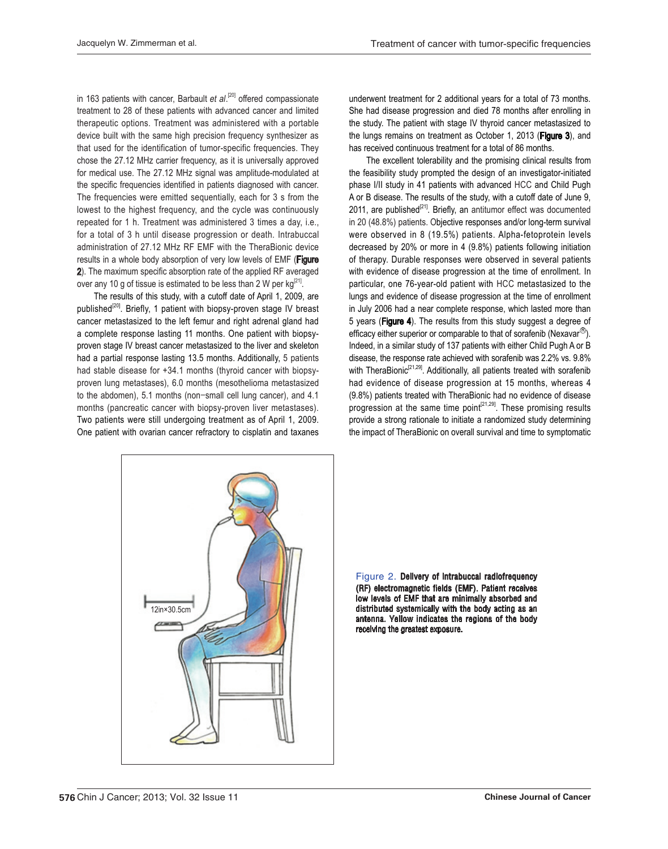in 163 patients with cancer, Barbault et al.<sup>[20]</sup> offered compassionate treatment to 28 of these patients with advanced cancer and limited therapeutic options. Treatment was administered with a portable device built with the same high precision frequency synthesizer as that used for the identification of tumor-specific frequencies. They chose the 27.12 MHz carrier frequency, as it is universally approved for medical use. The 27.12 MHz signal was amplitude-modulated at the specifc frequencies identifed in patients diagnosed with cancer. The frequencies were emitted sequentially, each for 3 s from the lowest to the highest frequency, and the cycle was continuously repeated for 1 h. Treatment was administered 3 times a day, i.e., for a total of 3 h until disease progression or death. Intrabuccal administration of 27.12 MHz RF EMF with the TheraBionic device results in a whole body absorption of very low levels of EMF (Figure 2). The maximum specifc absorption rate of the applied RF averaged over any 10 g of tissue is estimated to be less than 2 W per  $kg^{[21]}$ .

 The results of this study, with a cutoff date of April 1, 2009, are published<sup>[20]</sup>. Briefly, 1 patient with biopsy-proven stage IV breast cancer metastasized to the left femur and right adrenal gland had a complete response lasting 11 months. One patient with biopsyproven stage IV breast cancer metastasized to the liver and skeleton had a partial response lasting 13.5 months. Additionally, 5 patients had stable disease for +34.1 months (thyroid cancer with biopsyproven lung metastases), 6.0 months (mesothelioma metastasized to the abdomen), 5.1 months (non-small cell lung cancer), and 4.1 months (pancreatic cancer with biopsy-proven liver metastases). Two patients were still undergoing treatment as of April 1, 2009. One patient with ovarian cancer refractory to cisplatin and taxanes underwent treatment for 2 additional years for a total of 73 months. She had disease progression and died 78 months after enrolling in the study. The patient with stage IV thyroid cancer metastasized to the lungs remains on treatment as October 1, 2013 (Figure 3), and has received continuous treatment for a total of 86 months.

 The excellent tolerability and the promising clinical results from the feasibility study prompted the design of an investigator-initiated phase I/II study in 41 patients with advanced HCC and Child Pugh A or B disease. The results of the study, with a cutoff date of June 9, 2011, are published<sup>[21]</sup>. Briefly, an antitumor effect was documented in 20 (48.8%) patients. Objective responses and/or long-term survival were observed in 8 (19.5%) patients. Alpha-fetoprotein levels decreased by 20% or more in 4 (9.8%) patients following initiation of therapy. Durable responses were observed in several patients with evidence of disease progression at the time of enrollment. In particular, one 76-year-old patient with HCC metastasized to the lungs and evidence of disease progression at the time of enrollment in July 2006 had a near complete response, which lasted more than 5 years (Figure 4). The results from this study suggest a degree of efficacy either superior or comparable to that of sorafenib (Nexavar<sup>®</sup>). Indeed, in a similar study of 137 patients with either Child Pugh A or B disease, the response rate achieved with sorafenib was 2.2% vs. 9.8% with TheraBionic<sup>[21,29]</sup>. Additionally, all patients treated with sorafenib had evidence of disease progression at 15 months, whereas 4 (9.8%) patients treated with TheraBionic had no evidence of disease progression at the same time  $point^{[21,29]}$ . These promising results provide a strong rationale to initiate a randomized study determining the impact of TheraBionic on overall survival and time to symptomatic



![](_page_3_Figure_7.jpeg)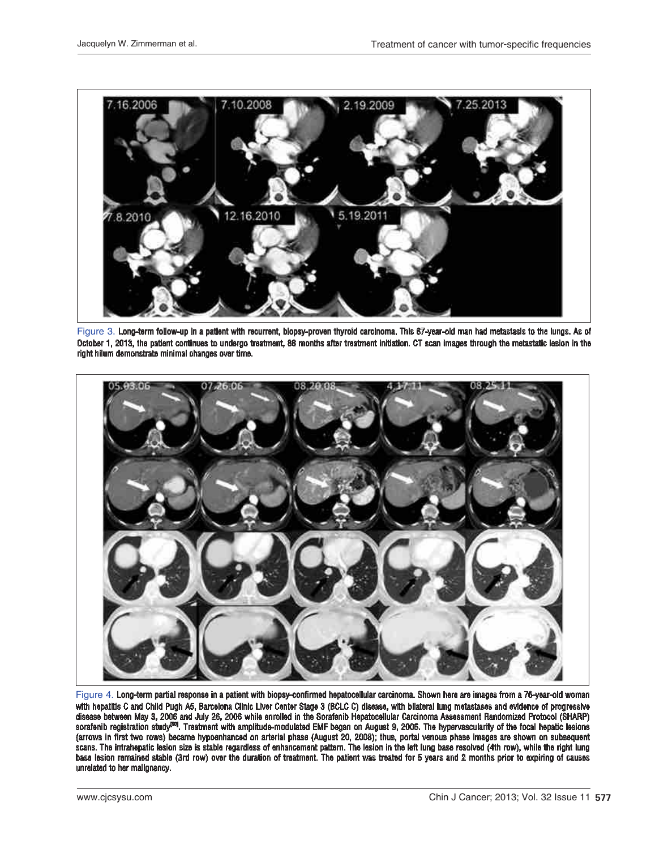![](_page_4_Figure_2.jpeg)

Figure 3. Long-term follow-up in a patient with recurrent, biopsy-proven thyroid carcinoma. This 67-year-old man had metastasis to the lungs. As of October 1, 2013, the patient continues to undergo treatment, 86 months after treatment initiation. CT scan images through the metastatic lesion in the right hilum demonstrate minimal changes over time.

![](_page_4_Picture_4.jpeg)

Figure 4. Long-term partial response in a patient with biopsy-confirmed hepatocellular carcinoma. Shown here are images from a 76-year-old woman with hepatitis C and Child Pugh A5, Barcelona Clinic Liver Center Stage 3 (BCLC C) disease, with bilateral lung metastases and evidence of progressive disease between May 3, 2006 and July 26, 2006 while enrolled in the Sorafenib Hepatocellular Carcinoma Assessment Randomized Protocol (SHARP) sorafenib registration study<sup>[50]</sup>. Treatment with amplitude-modulated EMF began on August 9, 2006. The hypervascularity of the focal hepatic lesions (arrows in first two rows) became hypoenhanced on arterial phase (August 20, 2008); thus, portal venous phase images are shown on subsequent scans. The intrahepatic lesion size is stable regardless of enhancement pattern. The lesion in the left lung base resolved (4th row), while the right lung base lesion remained stable (3rd row) over the duration of treatment. The patient was treated for 5 years and 2 months prior to expiring of causes unrelated to her malignancy.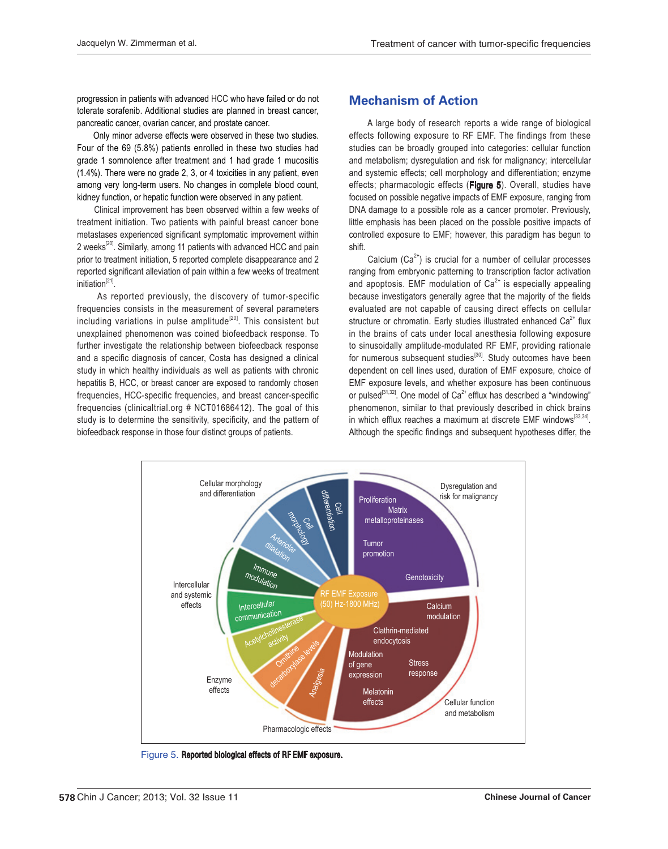progression in patients with advanced HCC who have failed or do not tolerate sorafenib. Additional studies are planned in breast cancer, pancreatic cancer, ovarian cancer, and prostate cancer.

 Only minor adverse effects were observed in these two studies. Four of the 69 (5.8%) patients enrolled in these two studies had grade 1 somnolence after treatment and 1 had grade 1 mucositis (1.4%). There were no grade 2, 3, or 4 toxicities in any patient, even among very long-term users. No changes in complete blood count, kidney function, or hepatic function were observed in any patient.

 Clinical improvement has been observed within a few weeks of treatment initiation. Two patients with painful breast cancer bone metastases experienced signifcant symptomatic improvement within 2 weeks<sup>[20]</sup>. Similarly, among 11 patients with advanced HCC and pain prior to treatment initiation, 5 reported complete disappearance and 2 reported signifcant alleviation of pain within a few weeks of treatment initiation $[21]$ .

 As reported previously, the discovery of tumor-specific frequencies consists in the measurement of several parameters including variations in pulse amplitude<sup>[20]</sup>. This consistent but unexplained phenomenon was coined biofeedback response. To further investigate the relationship between biofeedback response and a specific diagnosis of cancer, Costa has designed a clinical study in which healthy individuals as well as patients with chronic hepatitis B, HCC, or breast cancer are exposed to randomly chosen frequencies, HCC-specific frequencies, and breast cancer-specific frequencies (clinicaltrial.org # NCT01686412). The goal of this study is to determine the sensitivity, specificity, and the pattern of biofeedback response in those four distinct groups of patients.

# Mechanism of Action

 A large body of research reports a wide range of biological effects following exposure to RF EMF. The findings from these studies can be broadly grouped into categories: cellular function and metabolism; dysregulation and risk for malignancy; intercellular and systemic effects; cell morphology and differentiation; enzyme effects; pharmacologic effects (Figure 5). Overall, studies have focused on possible negative impacts of EMF exposure, ranging from DNA damage to a possible role as a cancer promoter. Previously, little emphasis has been placed on the possible positive impacts of controlled exposure to EMF; however, this paradigm has begun to shift.

Calcium  $(Ca^{2})$  is crucial for a number of cellular processes ranging from embryonic patterning to transcription factor activation and apoptosis. EMF modulation of  $Ca<sup>2+</sup>$  is especially appealing because investigators generally agree that the majority of the felds evaluated are not capable of causing direct effects on cellular structure or chromatin. Early studies illustrated enhanced  $Ca<sup>2+</sup>$  flux in the brains of cats under local anesthesia following exposure to sinusoidally amplitude-modulated RF EMF, providing rationale for numerous subsequent studies<sup>[30]</sup>. Study outcomes have been dependent on cell lines used, duration of EMF exposure, choice of EMF exposure levels, and whether exposure has been continuous or pulsed<sup>[31,32]</sup>. One model of  $Ca^{2+}$  efflux has described a "windowing" phenomenon, similar to that previously described in chick brains in which efflux reaches a maximum at discrete EMF windows $^{[33,34]}$ . Although the specifc fndings and subsequent hypotheses differ, the

![](_page_5_Figure_9.jpeg)

Figure 5. Reported biological effects of RF EMF exposure.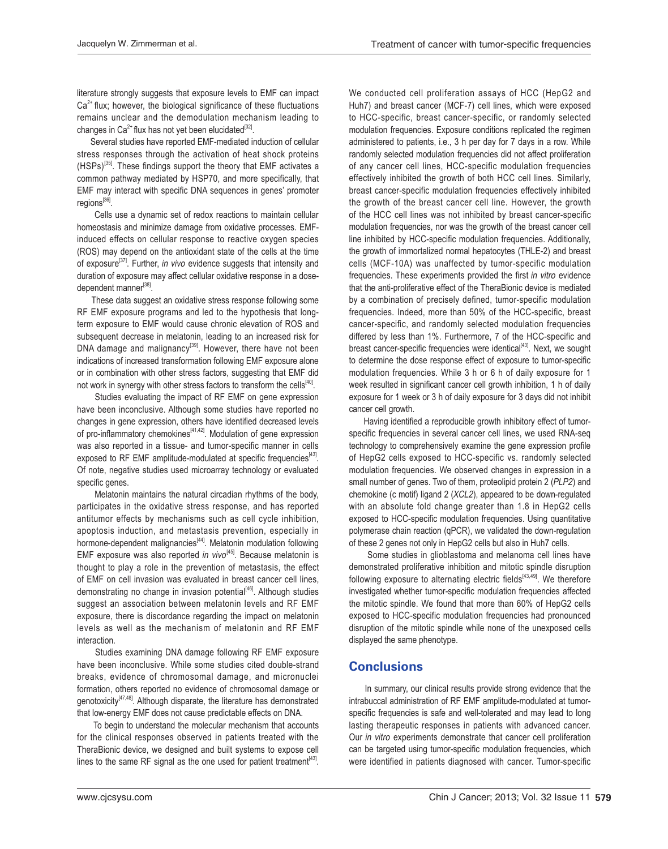literature strongly suggests that exposure levels to EMF can impact  $Ca<sup>2+</sup>$  flux; however, the biological significance of these fluctuations remains unclear and the demodulation mechanism leading to changes in Ca<sup>2+</sup> flux has not yet been elucidated<sup>[32]</sup>.

 Several studies have reported EMF-mediated induction of cellular stress responses through the activation of heat shock proteins (HSPs)[35]. These findings support the theory that EMF activates a common pathway mediated by HSP70, and more specifically, that EMF may interact with specifc DNA sequences in genes' promoter regions<sup>[36]</sup>.

 Cells use a dynamic set of redox reactions to maintain cellular homeostasis and minimize damage from oxidative processes. EMFinduced effects on cellular response to reactive oxygen species (ROS) may depend on the antioxidant state of the cells at the time of exposure<sup>[37]</sup>. Further, in vivo evidence suggests that intensity and duration of exposure may affect cellular oxidative response in a dosedependent manner<sup>[38]</sup>.

These data suggest an oxidative stress response following some RF EMF exposure programs and led to the hypothesis that longterm exposure to EMF would cause chronic elevation of ROS and subsequent decrease in melatonin, leading to an increased risk for DNA damage and malignancy<sup>[39]</sup>. However, there have not been indications of increased transformation following EMF exposure alone or in combination with other stress factors, suggesting that EMF did not work in synergy with other stress factors to transform the cells<sup>[40]</sup>.

 Studies evaluating the impact of RF EMF on gene expression have been inconclusive. Although some studies have reported no changes in gene expression, others have identifed decreased levels of pro-inflammatory chemokines<sup>[41,42]</sup>. Modulation of gene expression was also reported in a tissue- and tumor-specific manner in cells exposed to RF EMF amplitude-modulated at specific frequencies<sup>[43]</sup>. Of note, negative studies used microarray technology or evaluated specific genes.

 Melatonin maintains the natural circadian rhythms of the body, participates in the oxidative stress response, and has reported antitumor effects by mechanisms such as cell cycle inhibition, apoptosis induction, and metastasis prevention, especially in hormone-dependent malignancies<sup>[44]</sup>. Melatonin modulation following EMF exposure was also reported in  $vivo^{[45]}$ . Because melatonin is thought to play a role in the prevention of metastasis, the effect of EMF on cell invasion was evaluated in breast cancer cell lines, demonstrating no change in invasion potential<sup>[46]</sup>. Although studies suggest an association between melatonin levels and RF EMF exposure, there is discordance regarding the impact on melatonin levels as well as the mechanism of melatonin and RF EMF interaction.

 Studies examining DNA damage following RF EMF exposure have been inconclusive. While some studies cited double-strand breaks, evidence of chromosomal damage, and micronuclei formation, others reported no evidence of chromosomal damage or genotoxicity<sup>[47,48]</sup>. Although disparate, the literature has demonstrated that low-energy EMF does not cause predictable effects on DNA.

 To begin to understand the molecular mechanism that accounts for the clinical responses observed in patients treated with the TheraBionic device, we designed and built systems to expose cell lines to the same RF signal as the one used for patient treatment<sup>[43]</sup>.

We conducted cell proliferation assays of HCC (HepG2 and Huh7) and breast cancer (MCF-7) cell lines, which were exposed to HCC-specific, breast cancer-specific, or randomly selected modulation frequencies. Exposure conditions replicated the regimen administered to patients, i.e., 3 h per day for 7 days in a row. While randomly selected modulation frequencies did not affect proliferation of any cancer cell lines, HCC-specific modulation frequencies effectively inhibited the growth of both HCC cell lines. Similarly, breast cancer-specific modulation frequencies effectively inhibited the growth of the breast cancer cell line. However, the growth of the HCC cell lines was not inhibited by breast cancer-specific modulation frequencies, nor was the growth of the breast cancer cell line inhibited by HCC-specific modulation frequencies. Additionally, the growth of immortalized normal hepatocytes (THLE-2) and breast cells (MCF-10A) was unaffected by tumor-specific modulation frequencies. These experiments provided the first in vitro evidence that the anti-proliferative effect of the TheraBionic device is mediated by a combination of precisely defined, tumor-specific modulation frequencies. Indeed, more than 50% of the HCC-specific, breast cancer-specific, and randomly selected modulation frequencies differed by less than 1%. Furthermore, 7 of the HCC-specific and breast cancer-specific frequencies were identical<sup>[43]</sup>. Next, we sought to determine the dose response effect of exposure to tumor-specifc modulation frequencies. While 3 h or 6 h of daily exposure for 1 week resulted in significant cancer cell growth inhibition, 1 h of daily exposure for 1 week or 3 h of daily exposure for 3 days did not inhibit cancer cell growth.

 Having identifed a reproducible growth inhibitory effect of tumorspecifc frequencies in several cancer cell lines, we used RNA-seq technology to comprehensively examine the gene expression profle of HepG2 cells exposed to HCC-specific vs. randomly selected modulation frequencies. We observed changes in expression in a small number of genes. Two of them, proteolipid protein 2 (PLP2) and chemokine (c motif) ligand 2 (XCL2), appeared to be down-regulated with an absolute fold change greater than 1.8 in HepG2 cells exposed to HCC-specific modulation frequencies. Using quantitative polymerase chain reaction (qPCR), we validated the down-regulation of these 2 genes not only in HepG2 cells but also in Huh7 cells.

 Some studies in glioblastoma and melanoma cell lines have demonstrated proliferative inhibition and mitotic spindle disruption following exposure to alternating electric fields $[43,49]$ . We therefore investigated whether tumor-specifc modulation frequencies affected the mitotic spindle. We found that more than 60% of HepG2 cells exposed to HCC-specific modulation frequencies had pronounced disruption of the mitotic spindle while none of the unexposed cells displayed the same phenotype.

### **Conclusions**

 In summary, our clinical results provide strong evidence that the intrabuccal administration of RF EMF amplitude-modulated at tumorspecifc frequencies is safe and well-tolerated and may lead to long lasting therapeutic responses in patients with advanced cancer. Our in vitro experiments demonstrate that cancer cell proliferation can be targeted using tumor-specifc modulation frequencies, which were identified in patients diagnosed with cancer. Tumor-specific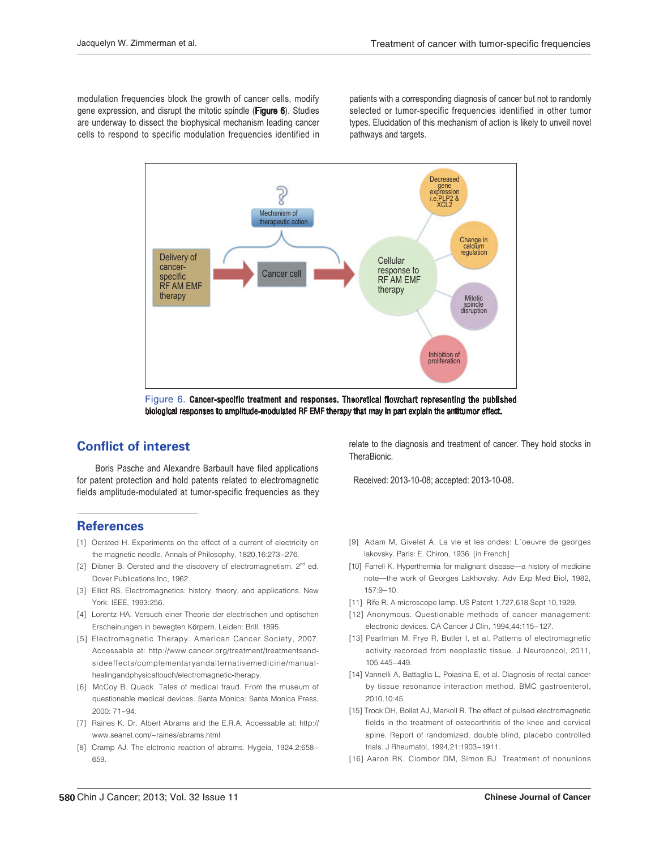modulation frequencies block the growth of cancer cells, modify gene expression, and disrupt the mitotic spindle (Figure 6). Studies are underway to dissect the biophysical mechanism leading cancer cells to respond to specific modulation frequencies identified in patients with a corresponding diagnosis of cancer but not to randomly selected or tumor-specific frequencies identified in other tumor types. Elucidation of this mechanism of action is likely to unveil novel pathways and targets.

![](_page_7_Figure_4.jpeg)

Figure 6. Cancer-specific treatment and responses. Theoretical flowchart representing the published biological responses to amplitude-modulated RF EMF therapy that may in part explain the antitumor effect.

## Conflict of interest

 Boris Pasche and Alexandre Barbault have filed applications for patent protection and hold patents related to electromagnetic fields amplitude-modulated at tumor-specific frequencies as they

### **References**

- [1] Oersted H. Experiments on the effect of a current of electricity on the magnetic needle. Annals of Philosophy, 1820,16:273-276.
- [2] Dibner B. Oersted and the discovery of electromagnetism.  $2^{nd}$  ed. Dover Publications Inc, 1962.
- [3] Elliot RS. Electromagnetics: history, theory, and applications. New York: IEEE, 1993:256.
- [4] Lorentz HA. Versuch einer Theorie der electrischen und optischen Erscheinungen in bewegten Körpern. Leiden: Brill, 1895.
- [5] Electromagnetic Therapy. American Cancer Society, 2007. Accessable at: http://www.cancer.org/treatment/treatmentsandsideeffects/complementaryandalternativemedicine/manualhealingandphysicaltouch/electromagnetic-therapy.
- [6] McCoy B. Quack. Tales of medical fraud. From the museum of questionable medical devices. Santa Monica: Santa Monica Press, 2000: 71-94.
- [7] Raines K. Dr. Albert Abrams and the E.R.A. Accessable at: http:// www.seanet.com/~raines/abrams.html.
- [8] Cramp AJ. The elctronic reaction of abrams. Hygeia, 1924,2:658- 659.

relate to the diagnosis and treatment of cancer. They hold stocks in TheraBionic.

Received: 2013-10-08; accepted: 2013-10-08.

- [9] Adam M, Givelet A. La vie et les ondes: L'oeuvre de georges lakovsky. Paris: E. Chiron, 1936. [in French]
- [10] Farrell K. Hyperthermia for malignant disease—a history of medicine note—the work of Georges Lakhovsky. Adv Exp Med Biol, 1982, 157:9-10.
- [11] Rife R. A microscope lamp. US Patent 1,727,618 Sept 10,1929.
- [12] Anonymous. Questionable methods of cancer management: electronic devices. CA Cancer J Clin, 1994,44:115-127.
- [13] Pearlman M, Frye R, Butler I, et al. Patterns of electromagnetic activity recorded from neoplastic tissue. J Neurooncol, 2011, 105:445-449.
- [14] Vannelli A, Battaglia L, Poiasina E, et al. Diagnosis of rectal cancer by tissue resonance interaction method. BMC gastroenterol, 2010,10:45.
- [15] Trock DH, Bollet AJ, Markoll R. The effect of pulsed electromagnetic fields in the treatment of osteoarthritis of the knee and cervical spine. Report of randomized, double blind, placebo controlled trials. J Rheumatol, 1994,21:1903-1911.
- [16] Aaron RK, Ciombor DM, Simon BJ. Treatment of nonunions